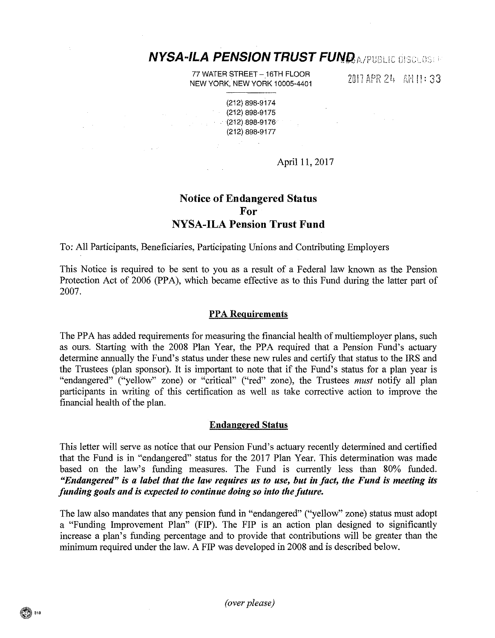# **NYSA-ILA PENSION TRUST FUND A/PUBLIC DISCLOSE**

77 WATER STREET - 16TH FLOOR NEW YORK, NEW YORK 10005-4401

2017 APR 24 AM 11: 33

(212) 898-9174 (212) 898-9175 (212) 898-9176 (212) 898-9177

April 11, 2017

# Notice of Endangered Status For NYSA-ILA Pension Trust Fund

To: All Participants, Beneficiaries, Participating Unions and Contributing Employers

 $\sim 10^7$ 

 $\gamma_1=\gamma_1\cdot\sigma$ 

This Notice is required to be sent to you as a result of a Federal law known as the Pension Protection Act of 2006 (PPA), which became effective as to this Fund during the latter part of 2007.

## PPA Requirements

The PPA has added requirements for measuring the financial health of multiemployer plans, such as ours, Starting with the 2008 Plan Year, the PPA required that a Pension Fund's actuary determine annually the Fund's status under these new rules and certify that status to the IRS and the Trustees (plan sponsor). It is important to note that if the Fund's status for a plan year is "endangered" ("yellow" zone) or "critical" ("red" zone), the Trustees *must* notify all plan participants in writing of this certification as well as take corrective action to improve the financial health of the plan.

## Endangered Status

This letter will serve as notice that our Pension Fund's actuary recently determined and certified that the Fund is in "endangered" status for the 2017 Plan Year. This determination was made based on the law's funding measures. The Fund is currently less than 80% funded. *"Endangered" is a label that the law requires us to use, but in fact, the Fund is meeting its funding goals and is expected to continue doing so into the future.* 

The law also mandates that any pension fund in "endangered" ("yellow" zone) status must adopt a "Funding Improvement Plan" (FIP). The FIP is an action plan designed to significantly increase a plan's funding percentage and to provide that contributions will be greater than the minimum required under the law. A FIP was developed in 2008 and is described below.